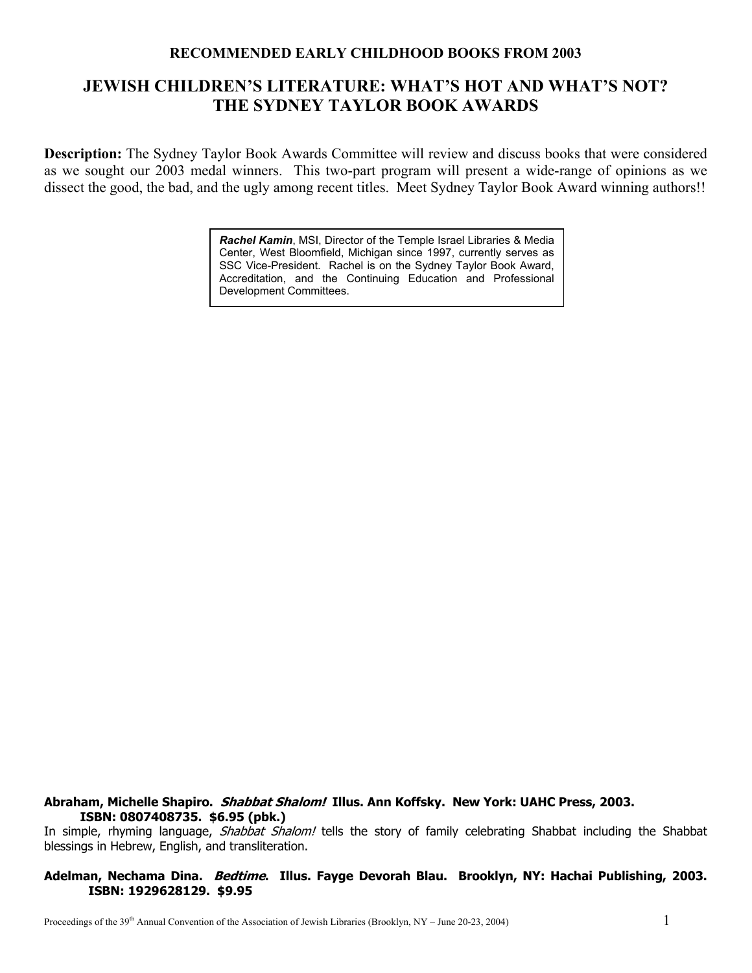# **RECOMMENDED EARLY CHILDHOOD BOOKS FROM 2003**

# **JEWISH CHILDREN'S LITERATURE: WHAT'S HOT AND WHAT'S NOT? THE SYDNEY TAYLOR BOOK AWARDS**

**Description:** The Sydney Taylor Book Awards Committee will review and discuss books that were considered as we sought our 2003 medal winners. This two-part program will present a wide-range of opinions as we dissect the good, the bad, and the ugly among recent titles. Meet Sydney Taylor Book Award winning authors!!

> *Rachel Kamin*, MSI, Director of the Temple Israel Libraries & Media Center, West Bloomfield, Michigan since 1997, currently serves as SSC Vice-President. Rachel is on the Sydney Taylor Book Award, Accreditation, and the Continuing Education and Professional Development Committees.

#### **Abraham, Michelle Shapiro. Shabbat Shalom! Illus. Ann Koffsky. New York: UAHC Press, 2003. ISBN: 0807408735. \$6.95 (pbk.)**

In simple, rhyming language, Shabbat Shalom! tells the story of family celebrating Shabbat including the Shabbat blessings in Hebrew, English, and transliteration.

#### **Adelman, Nechama Dina. Bedtime. Illus. Fayge Devorah Blau. Brooklyn, NY: Hachai Publishing, 2003. ISBN: 1929628129. \$9.95**